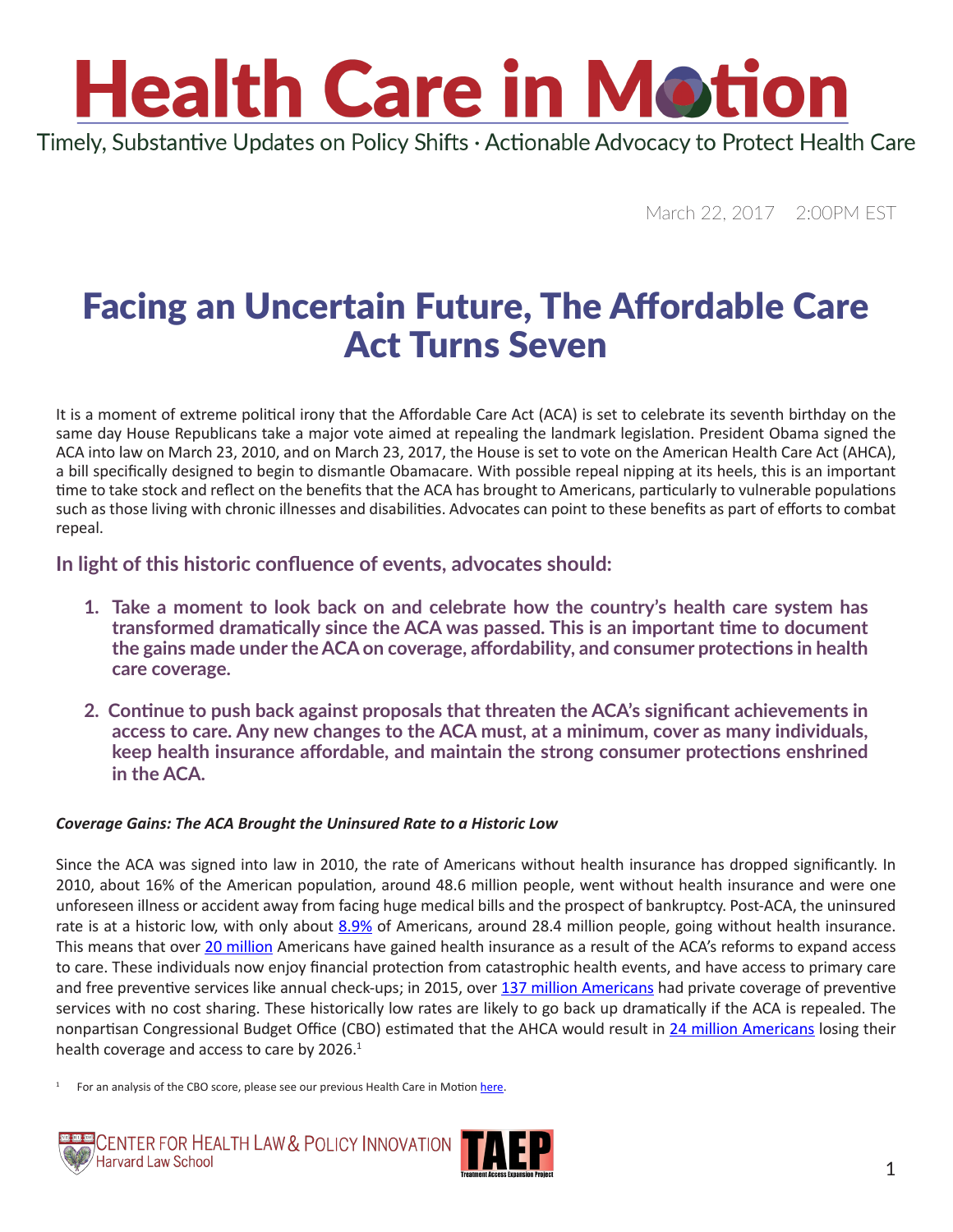Timely, Substantive Updates on Policy Shifts · Actionable Advocacy to Protect Health Care

March 22, 2017 2:00PM EST

### Facing an Uncertain Future, The Affordable Care Act Turns Seven

It is a moment of extreme political irony that the Affordable Care Act (ACA) is set to celebrate its seventh birthday on the same day House Republicans take a major vote aimed at repealing the landmark legislation. President Obama signed the ACA into law on March 23, 2010, and on March 23, 2017, the House is set to vote on the American Health Care Act (AHCA), a bill specifically designed to begin to dismantle Obamacare. With possible repeal nipping at its heels, this is an important time to take stock and reflect on the benefits that the ACA has brought to Americans, particularly to vulnerable populations such as those living with chronic illnesses and disabilities. Advocates can point to these benefits as part of efforts to combat repeal.

**In light of this historic confluence of events, advocates should:** 

- **1. Take a moment to look back on and celebrate how the country's health care system has transformed dramatically since the ACA was passed. This is an important time to document the gains made under the ACA on coverage, affordability, and consumer protections in health care coverage.**
- **2. Continue to push back against proposals that threaten the ACA's significant achievements in access to care. Any new changes to the ACA must, at a minimum, cover as many individuals, keep health insurance affordable, and maintain the strong consumer protections enshrined in the ACA.**

#### *Coverage Gains: The ACA Brought the Uninsured Rate to a Historic Low*

Since the ACA was signed into law in 2010, the rate of Americans without health insurance has dropped significantly. In 2010, about 16% of the American population, around 48.6 million people, went without health insurance and were one unforeseen illness or accident away from facing huge medical bills and the prospect of bankruptcy. Post-ACA, the uninsured rate is at a historic low, with only about [8.9%](https://www.cdc.gov/nchs/data/nhis/earlyrelease/insur201611.pdf) of Americans, around 28.4 million people, going without health insurance. This means that over [20 million](https://aspe.hhs.gov/system/files/pdf/187551/ACA2010-2016.pdf) Americans have gained health insurance as a result of the ACA's reforms to expand access to care. These individuals now enjoy financial protection from catastrophic health events, and have access to primary care and free preventive services like annual check-ups; in 2015, over [137 million Americans](https://aspe.hhs.gov/system/files/pdf/139221/The Affordable Care Act is Improving Access to Preventive Services for Millions of Americans.pdf) had private coverage of preventive services with no cost sharing. These historically low rates are likely to go back up dramatically if the ACA is repealed. The nonpartisan Congressional Budget Office (CBO) estimated that the AHCA would result in [24 million Americans](https://www.cbo.gov/sites/default/files/115th-congress-2017-2018/costestimate/americanhealthcareact.pdf) losing their health coverage and access to care by 2026.<sup>1</sup>

For an analysis of the CBO score, please see our previous Health Care in Motion [here.](http://www.chlpi.org/wp-content/uploads/2013/12/Health-Care-in-Motion_03_14_2017.pdf)



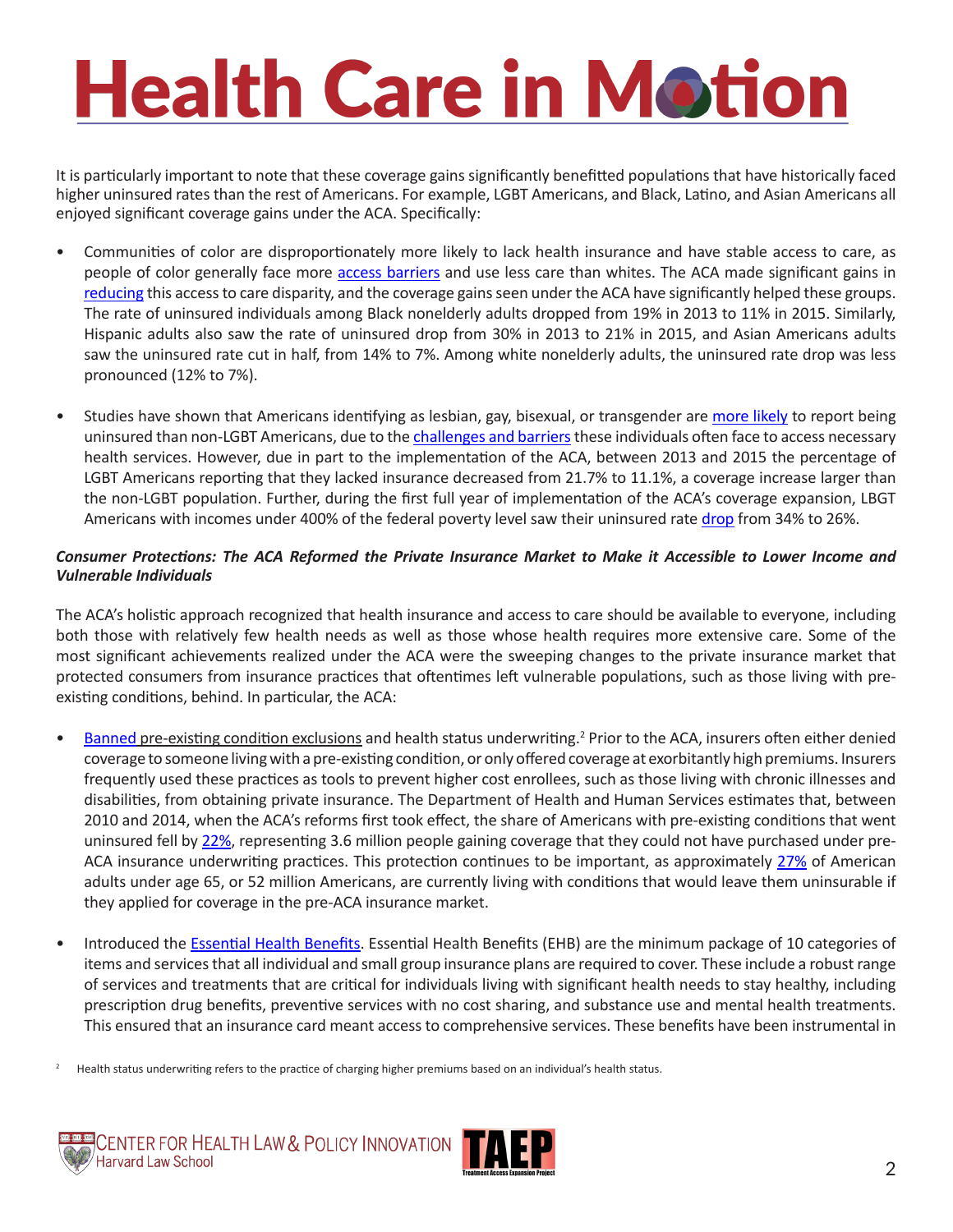It is particularly important to note that these coverage gains significantly benefitted populations that have historically faced higher uninsured rates than the rest of Americans. For example, LGBT Americans, and Black, Latino, and Asian Americans all enjoyed significant coverage gains under the ACA. Specifically:

- Communities of color are disproportionately more likely to lack health insurance and have stable access to care, as people of color generally face more [access barriers](http://files.kff.org/attachment/Chartpack-Key-Facts-on-Health-and-Health-Care-by-Race-and-Ethnicity) and use less care than whites. The ACA made significant gains in [reducing](http://kff.org/disparities-policy/issue-brief/disparities-in-health-and-health-care-five-key-questions-and-answers/) this access to care disparity, and the coverage gains seen under the ACA have significantly helped these groups. The rate of uninsured individuals among Black nonelderly adults dropped from 19% in 2013 to 11% in 2015. Similarly, Hispanic adults also saw the rate of uninsured drop from 30% in 2013 to 21% in 2015, and Asian Americans adults saw the uninsured rate cut in half, from 14% to 7%. Among white nonelderly adults, the uninsured rate drop was less pronounced (12% to 7%).
- Studies have shown that Americans identifying as lesbian, gay, bisexual, or transgender are [more likely](http://www.gallup.com/poll/175445/lgbt-likely-non-lgbt-uninsured.aspx) to report being uninsured than non-LGBT Americans, due to the [challenges and barriers](http://kff.org/disparities-policy/issue-brief/health-and-access-to-care-and-coverage-for-lesbian-gay-bisexual-and-transgender-individuals-in-the-u-s/) these individuals often face to access necessary health services. However, due in part to the implementation of the ACA, between 2013 and 2015 the percentage of LGBT Americans reporting that they lacked insurance decreased from 21.7% to 11.1%, a coverage increase larger than the non-LGBT population. Further, during the first full year of implementation of the ACA's coverage expansion, LBGT Americans with incomes under 400% of the federal poverty level saw their uninsured rate [drop](https://cdn.americanprogress.org/wp-content/uploads/2014/11/LGBTandACA-report.pdf) from 34% to 26%.

#### *Consumer Protections: The ACA Reformed the Private Insurance Market to Make it Accessible to Lower Income and Vulnerable Individuals*

The ACA's holistic approach recognized that health insurance and access to care should be available to everyone, including both those with relatively few health needs as well as those whose health requires more extensive care. Some of the most significant achievements realized under the ACA were the sweeping changes to the private insurance market that protected consumers from insurance practices that oftentimes left vulnerable populations, such as those living with preexisting conditions, behind. In particular, the ACA:

- [Banned](https://www.hhs.gov/healthcare/about-the-law/pre-existing-conditions/index.html) pre-existing condition exclusions and health status underwriting.<sup>2</sup> Prior to the ACA, insurers often either denied coverage to someone living with a pre-existing condition, or only offered coverage at exorbitantly high premiums. Insurers frequently used these practices as tools to prevent higher cost enrollees, such as those living with chronic illnesses and disabilities, from obtaining private insurance. The Department of Health and Human Services estimates that, between 2010 and 2014, when the ACA's reforms first took effect, the share of Americans with pre-existing conditions that went uninsured fell by [22%,](https://aspe.hhs.gov/pdf-report/health-insurance-coverage-americans-pre-existing-conditions-impact-affordable-care-act) representing 3.6 million people gaining coverage that they could not have purchased under pre-ACA insurance underwriting practices. This protection continues to be important, as approximately [27%](http://kff.org/health-reform/issue-brief/pre-existing-conditions-and-medical-underwriting-in-the-individual-insurance-market-prior-to-the-aca/) of American adults under age 65, or 52 million Americans, are currently living with conditions that would leave them uninsurable if they applied for coverage in the pre-ACA insurance market.
- Introduced the [Essential Health Benefits.](https://www.cms.gov/cciio/resources/data-resources/ehb.html) Essential Health Benefits (EHB) are the minimum package of 10 categories of items and services that all individual and small group insurance plans are required to cover. These include a robust range of services and treatments that are critical for individuals living with significant health needs to stay healthy, including prescription drug benefits, preventive services with no cost sharing, and substance use and mental health treatments. This ensured that an insurance card meant access to comprehensive services. These benefits have been instrumental in
- <sup>2</sup> Health status underwriting refers to the practice of charging higher premiums based on an individual's health status.



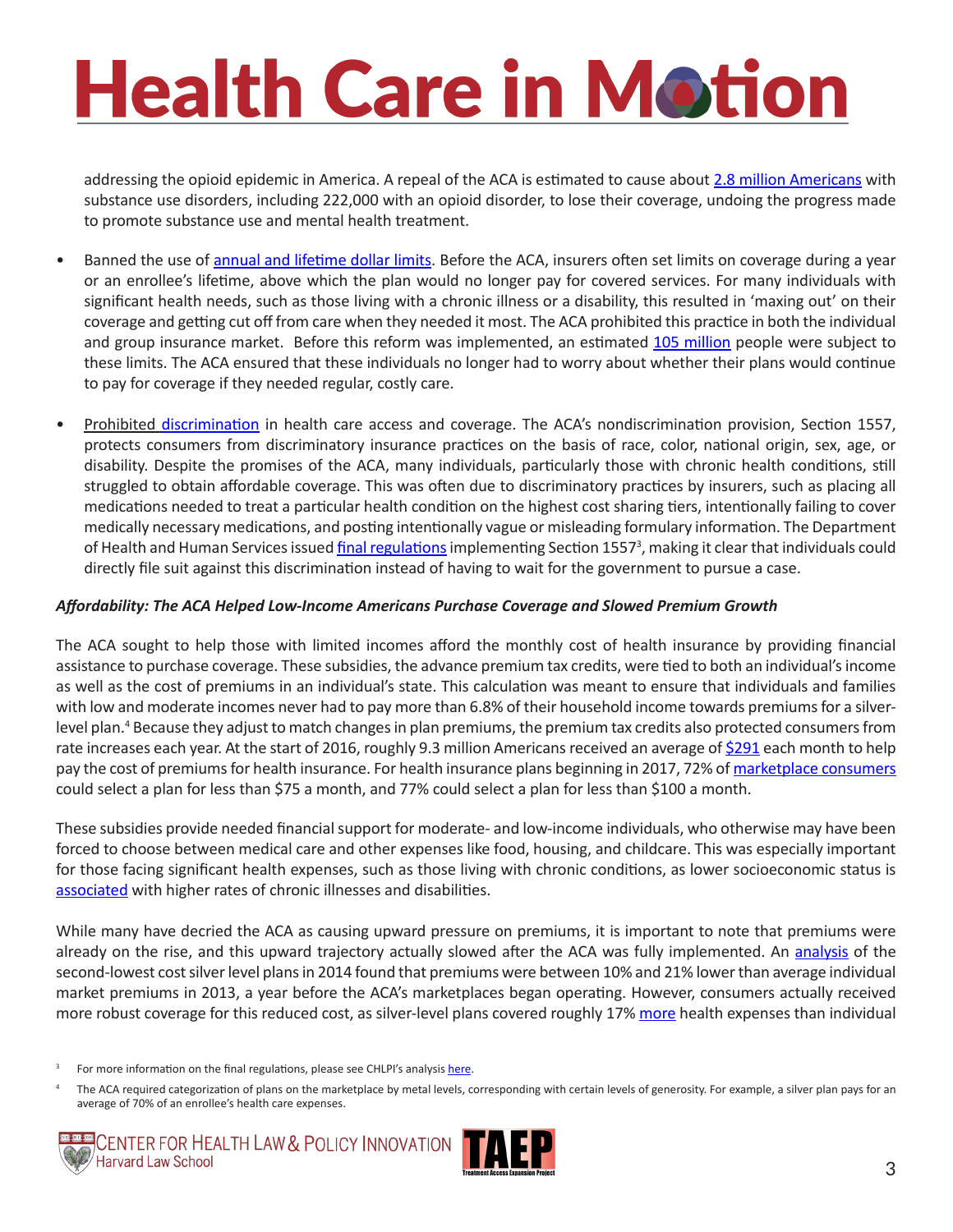addressing the opioid epidemic in America. A repeal of the ACA is estimated to cause about [2.8 million Americans](http://thehill.com/blogs/pundits-blog/healthcare/313672-keep-obamacare-to-keep-progress-on-treating-opioid-disorders) with substance use disorders, including 222,000 with an opioid disorder, to lose their coverage, undoing the progress made to promote substance use and mental health treatment.

- Banned the use of [annual and lifetime dollar limits](https://www.hhs.gov/healthcare/about-the-law/benefit-limits/index.html). Before the ACA, insurers often set limits on coverage during a year or an enrollee's lifetime, above which the plan would no longer pay for covered services. For many individuals with significant health needs, such as those living with a chronic illness or a disability, this resulted in 'maxing out' on their coverage and getting cut off from care when they needed it most. The ACA prohibited this practice in both the individual and group insurance market. Before this reform was implemented, an estimated [105 million](https://aspe.hhs.gov/basic-report/under-affordable-care-act-105-million-americans-no-longer-face-lifetime-limits-health-benefits) people were subject to these limits. The ACA ensured that these individuals no longer had to worry about whether their plans would continue to pay for coverage if they needed regular, costly care.
- Prohibited [discrimination](https://www.hhs.gov/civil-rights/for-individuals/section-1557/) in health care access and coverage. The ACA's nondiscrimination provision, Section 1557, protects consumers from discriminatory insurance practices on the basis of race, color, national origin, sex, age, or disability. Despite the promises of the ACA, many individuals, particularly those with chronic health conditions, still struggled to obtain affordable coverage. This was often due to discriminatory practices by insurers, such as placing all medications needed to treat a particular health condition on the highest cost sharing tiers, intentionally failing to cover medically necessary medications, and posting intentionally vague or misleading formulary information. The Department of Health and Human Services issued [final regulations](https://www.federalregister.gov/documents/2016/05/18/2016-11458/nondiscrimination-in-health-programs-and-activities) implementing Section 1557<sup>3</sup>, making it clear that individuals could directly file suit against this discrimination instead of having to wait for the government to pursue a case.

#### *Affordability: The ACA Helped Low-Income Americans Purchase Coverage and Slowed Premium Growth*

The ACA sought to help those with limited incomes afford the monthly cost of health insurance by providing financial assistance to purchase coverage. These subsidies, the advance premium tax credits, were tied to both an individual's income as well as the cost of premiums in an individual's state. This calculation was meant to ensure that individuals and families with low and moderate incomes never had to pay more than 6.8% of their household income towards premiums for a silverlevel plan.<sup>4</sup> Because they adjust to match changes in plan premiums, the premium tax credits also protected consumers from rate increases each year. At the start of 2016, roughly 9.3 million Americans received an average of [\\$291](https://www.cms.gov/Newsroom/MediaReleaseDatabase/Fact-sheets/2016-Fact-sheets-items/2016-06-30.html) each month to help pay the cost of premiums for health insurance. For health insurance plans beginning in 2017, 72% of [marketplace consumers](https://aspe.hhs.gov/system/files/pdf/212721/2017MarketplaceLandscapeBrief.pdf) could select a plan for less than \$75 a month, and 77% could select a plan for less than \$100 a month.

These subsidies provide needed financial support for moderate- and low-income individuals, who otherwise may have been forced to choose between medical care and other expenses like food, housing, and childcare. This was especially important for those facing significant health expenses, such as those living with chronic conditions, as lower socioeconomic status is [associated](http://hss.ucsf.edu/sites/hss.ucsf.edu/files/imported_pdf/article-AdlerN-RehkopfDH-jun2008.pdf) with higher rates of chronic illnesses and disabilities.

While many have decried the ACA as causing upward pressure on premiums, it is important to note that premiums were already on the rise, and this upward trajectory actually slowed after the ACA was fully implemented. An [analysis](http://healthaffairs.org/blog/2016/07/21/obamacare-premiums-are-lower-than-you-think/) of the second-lowest cost silver level plans in 2014 found that premiums were between 10% and 21% lower than average individual market premiums in 2013, a year before the ACA's marketplaces began operating. However, consumers actually received more robust coverage for this reduced cost, as silver-level plans covered roughly 17% [more](http://healthaffairs.org/blog/2016/07/21/obamacare-premiums-are-lower-than-you-think/) health expenses than individual

The ACA required categorization of plans on the marketplace by metal levels, corresponding with certain levels of generosity. For example, a silver plan pays for an average of 70% of an enrollee's health care expenses.





For more information on the final regulations, please see CHLPI's analysis [here.](http://www.chlpi.org/wp-content/uploads/2013/12/1557-Regulations-CHLPI-Summary.pdf)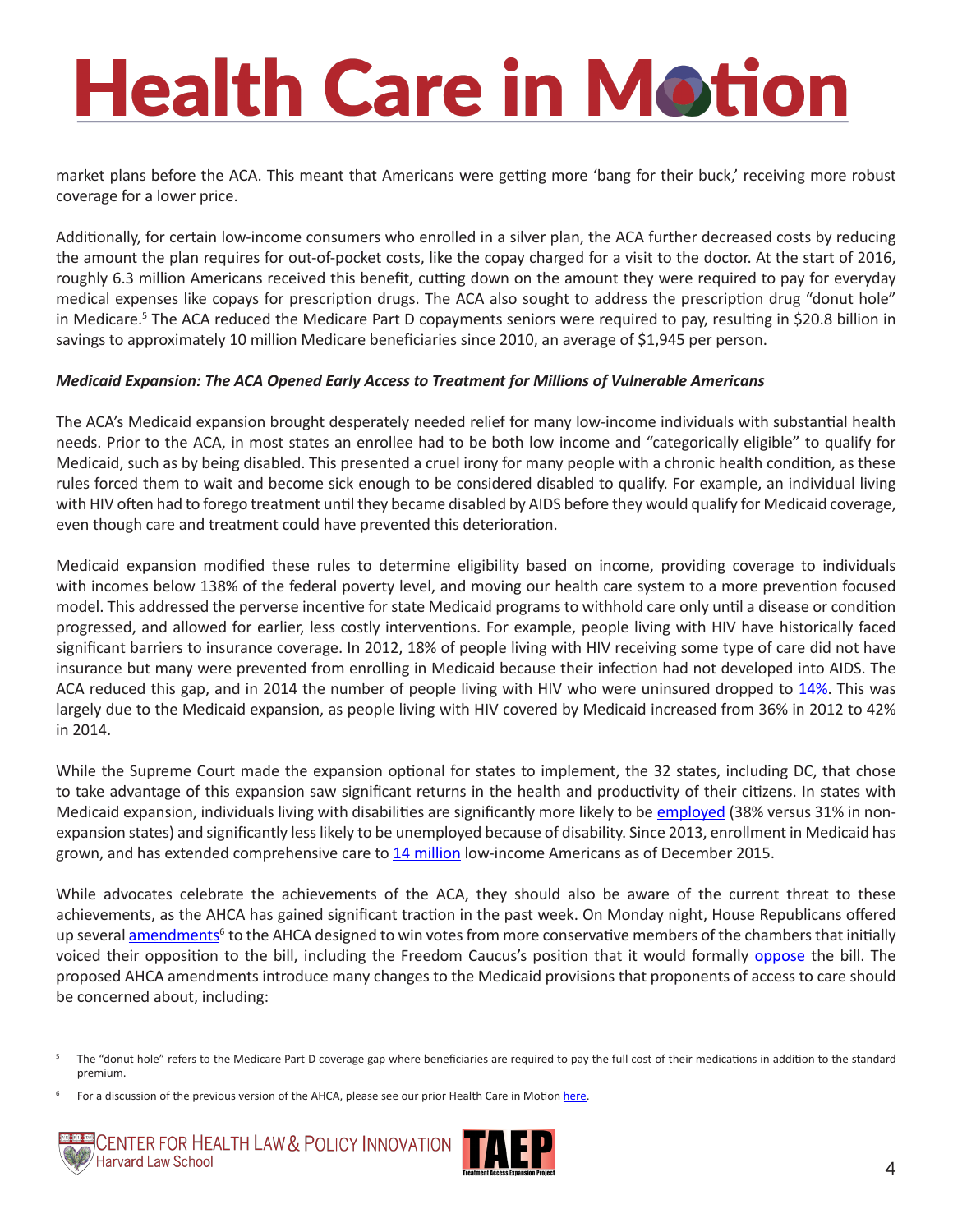market plans before the ACA. This meant that Americans were getting more 'bang for their buck,' receiving more robust coverage for a lower price.

Additionally, for certain low-income consumers who enrolled in a silver plan, the ACA further decreased costs by reducing the amount the plan requires for out-of-pocket costs, like the copay charged for a visit to the doctor. At the start of 2016, roughly 6.3 million Americans received this benefit, cutting down on the amount they were required to pay for everyday medical expenses like copays for prescription drugs. The ACA also sought to address the prescription drug "donut hole" in Medicare.<sup>5</sup> The ACA reduced the Medicare Part D copayments seniors were required to pay, resulting in \$20.8 billion in [savings](https://www.cms.gov/Newsroom/MediaReleaseDatabase/Press-releases/2016-Press-releases-items/2016-02-08.html) to approximately 10 million Medicare beneficiaries since 2010, an average of \$1,945 per person.

#### *Medicaid Expansion: The ACA Opened Early Access to Treatment for Millions of Vulnerable Americans*

The ACA's Medicaid expansion brought desperately needed relief for many low-income individuals with substantial health needs. Prior to the ACA, in most states an enrollee had to be both low income and "categorically eligible" to qualify for Medicaid, such as by being disabled. This presented a cruel irony for many people with a chronic health condition, as these rules forced them to wait and become sick enough to be considered disabled to qualify. For example, an individual living with HIV often had to forego treatment until they became disabled by AIDS before they would qualify for Medicaid coverage, even though care and treatment could have prevented this deterioration.

Medicaid expansion modified these rules to determine eligibility based on income, providing coverage to individuals with incomes below 138% of the federal poverty level, and moving our health care system to a more prevention focused model. This addressed the perverse incentive for state Medicaid programs to withhold care only until a disease or condition progressed, and allowed for earlier, less costly interventions. For example, people living with HIV have historically faced significant barriers to insurance coverage. In 2012, 18% of people living with HIV receiving some type of care did not have insurance but many were prevented from enrolling in Medicaid because their infection had not developed into AIDS. The ACA reduced this gap, and in 2014 the number of people living with HIV who were uninsured dropped to [14%.](http://kff.org/health-reform/issue-brief/insurance-coverage-changes-for-people-with-hiv-under-the-aca/) This was largely due to the Medicaid expansion, as people living with HIV covered by Medicaid increased from 36% in 2012 to 42% in 2014.

While the Supreme Court made the expansion optional for states to implement, the 32 states, including DC, that chose to take advantage of this expansion saw significant returns in the health and productivity of their citizens. In states with Medicaid expansion, individuals living with disabilities are significantly more likely to be [employed](https://nationaldisabilitynavigator.org/wp-content/uploads/Materials/CHRIL/AJPH-CHRIL_MedicaidExpansion-WorkforceParticipation_2016-Dec-20.pdf) (38% versus 31% in nonexpansion states) and significantly less likely to be unemployed because of disability. Since 2013, enrollment in Medicaid has grown, and has extended comprehensive care to [14 million](https://aspe.hhs.gov/system/files/pdf/187551/ACA2010-2016.pdf) low-income Americans as of December 2015.

While advocates celebrate the achievements of the ACA, they should also be aware of the current threat to these achievements, as the AHCA has gained significant traction in the past week. On Monday night, House Republicans offered up several [amendments](https://waysandmeans.house.gov/house-republicans-announce-updates-strengthen-american-health-care-act/)<sup>6</sup> to the AHCA designed to win votes from more conservative members of the chambers that initially voiced their opposition to the bill, including the Freedom Caucus's position that it would formally [oppose](http://www.politico.com/story/2017/03/freedom-caucus-donald-trump-health-care-235777) the bill. The proposed AHCA amendments introduce many changes to the Medicaid provisions that proponents of access to care should be concerned about, including:

For a discussion of the previous version of the AHCA, please see our prior Health Care in Motion [here.](http://www.chlpi.org/wp-content/uploads/2013/12/Health-Care-in-Motion_03_07_2017.pdf)





The "donut hole" refers to the Medicare Part D coverage gap where beneficiaries are required to pay the full cost of their medications in addition to the standard premium.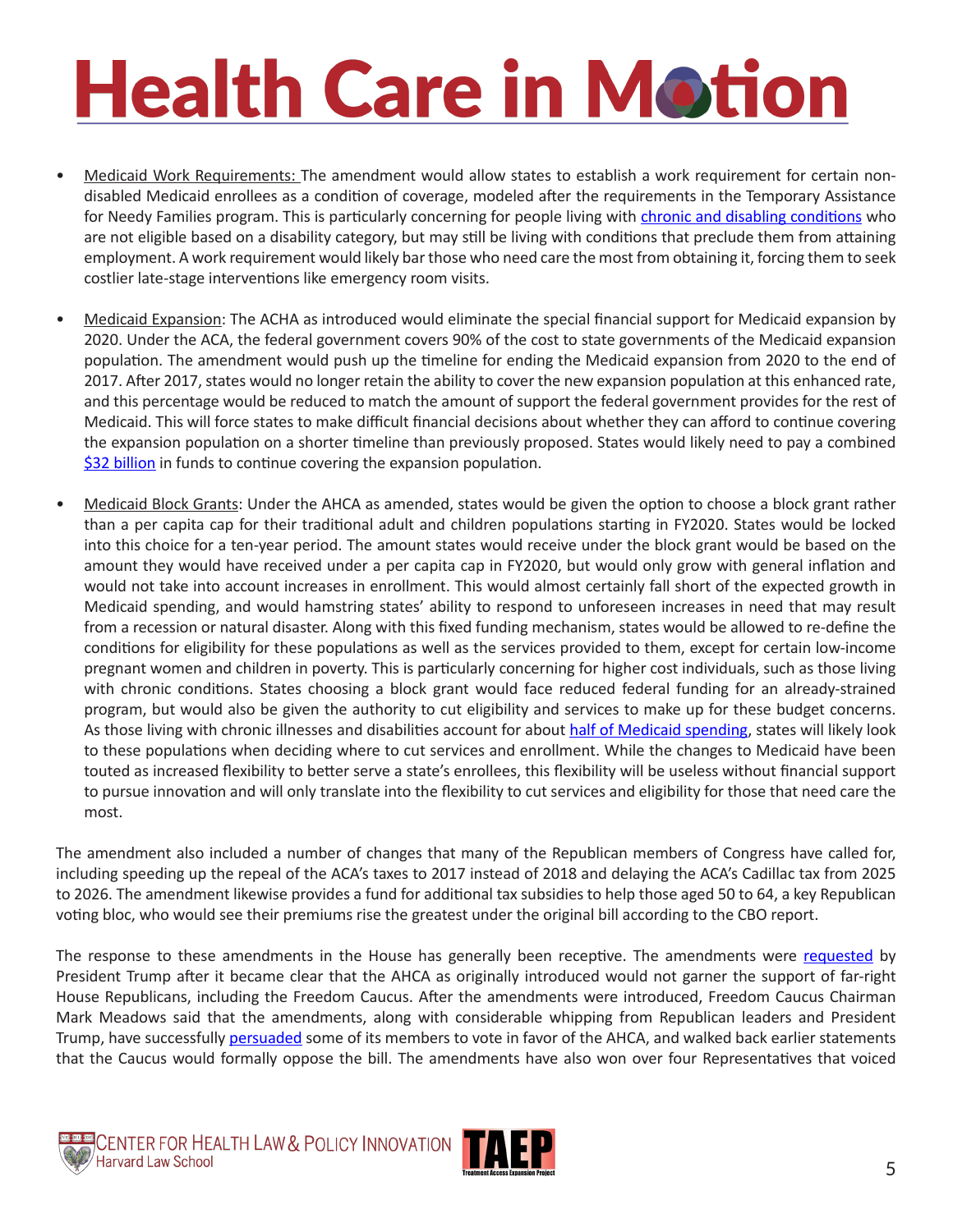- Medicaid Work Requirements: The amendment would allow states to establish a work requirement for certain nondisabled Medicaid enrollees as a condition of coverage, modeled after the requirements in the Temporary Assistance for Needy Families program. This is particularly concerning for people living with [chronic and disabling conditions](http://www.healthlaw.org/publications/browse-all-publications/medicaid-work-requirements-not-a-healthy-choice#.WNFssBIrIUE) who are not eligible based on a disability category, but may still be living with conditions that preclude them from attaining employment. A work requirement would likely bar those who need care the most from obtaining it, forcing them to seek costlier late-stage interventions like emergency room visits.
- Medicaid Expansion: The ACHA as introduced would eliminate the special financial support for Medicaid expansion by 2020. Under the ACA, the federal government covers 90% of the cost to state governments of the Medicaid expansion population. The amendment would push up the timeline for ending the Medicaid expansion from 2020 to the end of 2017. After 2017, states would no longer retain the ability to cover the new expansion population at this enhanced rate, and this percentage would be reduced to match the amount of support the federal government provides for the rest of Medicaid. This will force states to make difficult financial decisions about whether they can afford to continue covering the expansion population on a shorter timeline than previously proposed. States would likely need to pay a combined [\\$32 billion](http://www.cbpp.org/research/health/house-republican-proposals-to-radically-overhaul-medicaid-would-shift-costs-risks-to) in funds to continue covering the expansion population.
- Medicaid Block Grants: Under the AHCA as amended, states would be given the option to choose a block grant rather than a per capita cap for their traditional adult and children populations starting in FY2020. States would be locked into this choice for a ten-year period. The amount states would receive under the block grant would be based on the amount they would have received under a per capita cap in FY2020, but would only grow with general inflation and would not take into account increases in enrollment. This would almost certainly fall short of the expected growth in Medicaid spending, and would hamstring states' ability to respond to unforeseen increases in need that may result from a recession or natural disaster. Along with this fixed funding mechanism, states would be allowed to re-define the conditions for eligibility for these populations as well as the services provided to them, except for certain low-income pregnant women and children in poverty. This is particularly concerning for higher cost individuals, such as those living with chronic conditions. States choosing a block grant would face reduced federal funding for an already-strained program, but would also be given the authority to cut eligibility and services to make up for these budget concerns. As those living with chronic illnesses and disabilities account for about [half of Medicaid spending,](http://www.cbpp.org/research/health/house-republican-proposals-to-radically-overhaul-medicaid-would-shift-costs-risks-to) states will likely look to these populations when deciding where to cut services and enrollment. While the changes to Medicaid have been touted as increased flexibility to better serve a state's enrollees, this flexibility will be useless without financial support to pursue innovation and will only translate into the flexibility to cut services and eligibility for those that need care the most.

The amendment also included a number of changes that many of the Republican members of Congress have called for, including speeding up the repeal of the ACA's taxes to 2017 instead of 2018 and delaying the ACA's Cadillac tax from 2025 to 2026. The amendment likewise provides a fund for additional tax subsidies to help those aged 50 to 64, a key Republican voting bloc, who would see their premiums rise the greatest under the original bill according to the CBO report.

The response to these amendments in the House has generally been receptive. The amendments were [requested](http://www.politico.com/story/2017/03/trump-ryan-obamacare-conservatives-236061) by President Trump after it became clear that the AHCA as originally introduced would not garner the support of far-right House Republicans, including the Freedom Caucus. After the amendments were introduced, Freedom Caucus Chairman Mark Meadows said that the amendments, along with considerable whipping from Republican leaders and President Trump, have successfully [persuaded](http://www.politico.com/story/2017/03/freedom-caucus-obamacare-repeal-236284) some of its members to vote in favor of the AHCA, and walked back earlier statements that the Caucus would formally oppose the bill. The amendments have also won over four Representatives that voiced